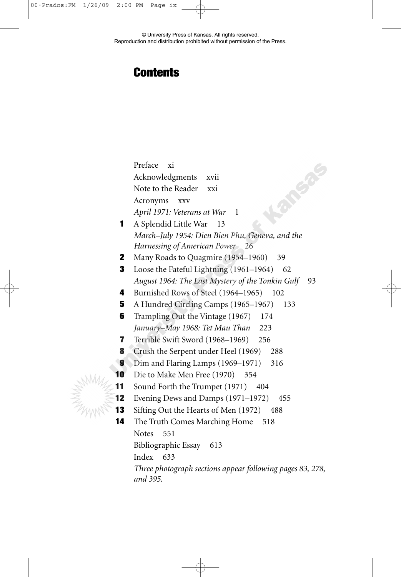# **Contents**

Hansos Preface xi Acknowledgments xvii Note to the Reader xxi Acronyms xxv *April 1971: Veterans at War* 1 **1** A Splendid Little War 13 *March–July 1954: Dien Bien Phu, Geneva, and the Harnessing of American Power* 26 **2** Many Roads to Quagmire (1954–1960) 39 **3** Loose the Fateful Lightning (1961–1964) 62 *August 1964: The Last Mystery of the Tonkin Gulf* 93 **4** Burnished Rows of Steel (1964–1965) 102 **5** A Hundred Circling Camps (1965–1967) 133 **6** Trampling Out the Vintage (1967) 174 *January–May 1968: Tet Mau Than* 223 **7** Terrible Swift Sword (1968–1969) 256 **8** Crush the Serpent under Heel (1969) 288 **9** Dim and Flaring Lamps (1969–1971) 316 **10** Die to Make Men Free (1970) 354 **11** Sound Forth the Trumpet (1971) 404 **12** Evening Dews and Damps (1971–1972) 455 **13** Sifting Out the Hearts of Men (1972) 488 **14** The Truth Comes Marching Home 518 Notes 551 Bibliographic Essay 613 Index 633 *Three photograph sections appear following pages 83, 278, and 395.*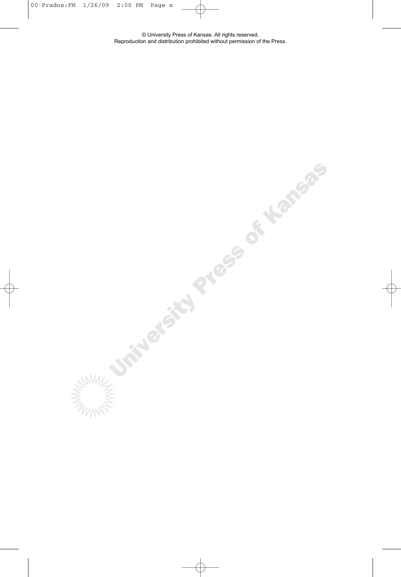© University Press of Kansas. All rights reserved. Reproduction and distribution prohibited without permission of the Press.

**SURVEY MANUFACTURE OF HEADS**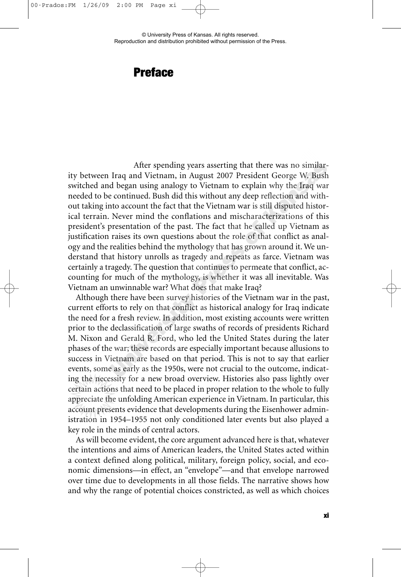# **Preface**

After spending years asserting that there was no similarity between Iraq and Vietnam, in August 2007 President George W. Bush switched and began using analogy to Vietnam to explain why the Iraq war needed to be continued. Bush did this without any deep reflection and without taking into account the fact that the Vietnam war is still disputed historical terrain. Never mind the conflations and mischaracterizations of this president's presentation of the past. The fact that he called up Vietnam as justification raises its own questions about the role of that conflict as analogy and the realities behind the mythology that has grown around it. We understand that history unrolls as tragedy and repeats as farce. Vietnam was certainly a tragedy. The question that continues to permeate that conflict, accounting for much of the mythology, is whether it was all inevitable. Was Vietnam an unwinnable war? What does that make Iraq?

Although there have been survey histories of the Vietnam war in the past, current efforts to rely on that conflict as historical analogy for Iraq indicate the need for a fresh review. In addition, most existing accounts were written prior to the declassification of large swaths of records of presidents Richard M. Nixon and Gerald R. Ford, who led the United States during the later phases of the war; these records are especially important because allusions to success in Vietnam are based on that period. This is not to say that earlier events, some as early as the 1950s, were not crucial to the outcome, indicating the necessity for a new broad overview. Histories also pass lightly over certain actions that need to be placed in proper relation to the whole to fully appreciate the unfolding American experience in Vietnam. In particular, this account presents evidence that developments during the Eisenhower administration in 1954–1955 not only conditioned later events but also played a key role in the minds of central actors.

As will become evident, the core argument advanced here is that, whatever the intentions and aims of American leaders, the United States acted within a context defined along political, military, foreign policy, social, and economic dimensions—in effect, an "envelope"—and that envelope narrowed over time due to developments in all those fields. The narrative shows how and why the range of potential choices constricted, as well as which choices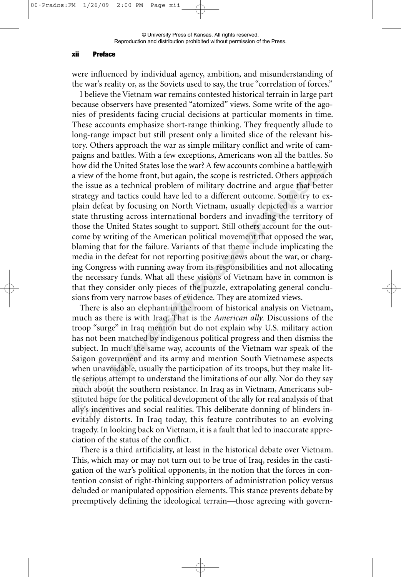# **xii Preface**

were influenced by individual agency, ambition, and misunderstanding of the war's reality or, as the Soviets used to say, the true "correlation of forces."

I believe the Vietnam war remains contested historical terrain in large part because observers have presented "atomized" views. Some write of the agonies of presidents facing crucial decisions at particular moments in time. These accounts emphasize short-range thinking. They frequently allude to long-range impact but still present only a limited slice of the relevant history. Others approach the war as simple military conflict and write of campaigns and battles. With a few exceptions, Americans won all the battles. So how did the United States lose the war? A few accounts combine a battle with a view of the home front, but again, the scope is restricted. Others approach the issue as a technical problem of military doctrine and argue that better strategy and tactics could have led to a different outcome. Some try to explain defeat by focusing on North Vietnam, usually depicted as a warrior state thrusting across international borders and invading the territory of those the United States sought to support. Still others account for the outcome by writing of the American political movement that opposed the war, blaming that for the failure. Variants of that theme include implicating the media in the defeat for not reporting positive news about the war, or charging Congress with running away from its responsibilities and not allocating the necessary funds. What all these visions of Vietnam have in common is that they consider only pieces of the puzzle, extrapolating general conclusions from very narrow bases of evidence. They are atomized views.

There is also an elephant in the room of historical analysis on Vietnam, much as there is with Iraq. That is the *American ally.* Discussions of the troop "surge" in Iraq mention but do not explain why U.S. military action has not been matched by indigenous political progress and then dismiss the subject. In much the same way, accounts of the Vietnam war speak of the Saigon government and its army and mention South Vietnamese aspects when unavoidable, usually the participation of its troops, but they make little serious attempt to understand the limitations of our ally. Nor do they say much about the southern resistance. In Iraq as in Vietnam, Americans substituted hope for the political development of the ally for real analysis of that ally's incentives and social realities. This deliberate donning of blinders inevitably distorts. In Iraq today, this feature contributes to an evolving tragedy. In looking back on Vietnam, it is a fault that led to inaccurate appreciation of the status of the conflict.

There is a third artificiality, at least in the historical debate over Vietnam. This, which may or may not turn out to be true of Iraq, resides in the castigation of the war's political opponents, in the notion that the forces in contention consist of right-thinking supporters of administration policy versus deluded or manipulated opposition elements. This stance prevents debate by preemptively defining the ideological terrain—those agreeing with govern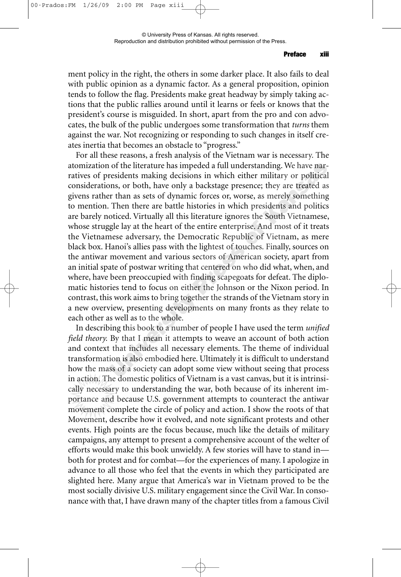ment policy in the right, the others in some darker place. It also fails to deal with public opinion as a dynamic factor. As a general proposition, opinion tends to follow the flag. Presidents make great headway by simply taking actions that the public rallies around until it learns or feels or knows that the president's course is misguided. In short, apart from the pro and con advocates, the bulk of the public undergoes some transformation that *turns* them against the war. Not recognizing or responding to such changes in itself creates inertia that becomes an obstacle to "progress."

For all these reasons, a fresh analysis of the Vietnam war is necessary. The atomization of the literature has impeded a full understanding. We have narratives of presidents making decisions in which either military or political considerations, or both, have only a backstage presence; they are treated as givens rather than as sets of dynamic forces or, worse, as merely something to mention. Then there are battle histories in which presidents and politics are barely noticed. Virtually all this literature ignores the South Vietnamese, whose struggle lay at the heart of the entire enterprise. And most of it treats the Vietnamese adversary, the Democratic Republic of Vietnam, as mere black box. Hanoi's allies pass with the lightest of touches. Finally, sources on the antiwar movement and various sectors of American society, apart from an initial spate of postwar writing that centered on who did what, when, and where, have been preoccupied with finding scapegoats for defeat. The diplomatic histories tend to focus on either the Johnson or the Nixon period. In contrast, this work aims to bring together the strands of the Vietnam story in a new overview, presenting developments on many fronts as they relate to each other as well as to the whole.

In describing this book to a number of people I have used the term *unified field theory.* By that I mean it attempts to weave an account of both action and context that includes all necessary elements. The theme of individual transformation is also embodied here. Ultimately it is difficult to understand how the mass of a society can adopt some view without seeing that process in action. The domestic politics of Vietnam is a vast canvas, but it is intrinsically necessary to understanding the war, both because of its inherent importance and because U.S. government attempts to counteract the antiwar movement complete the circle of policy and action. I show the roots of that Movement, describe how it evolved, and note significant protests and other events. High points are the focus because, much like the details of military campaigns, any attempt to present a comprehensive account of the welter of efforts would make this book unwieldy. A few stories will have to stand in both for protest and for combat—for the experiences of many. I apologize in advance to all those who feel that the events in which they participated are slighted here. Many argue that America's war in Vietnam proved to be the most socially divisive U.S. military engagement since the Civil War. In consonance with that, I have drawn many of the chapter titles from a famous Civil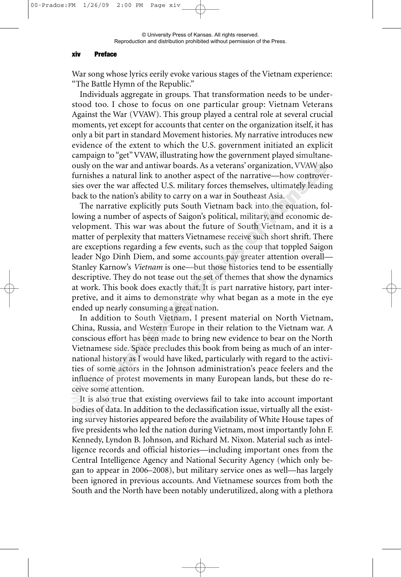### **xiv Preface**

War song whose lyrics eerily evoke various stages of the Vietnam experience: "The Battle Hymn of the Republic."

Individuals aggregate in groups. That transformation needs to be understood too. I chose to focus on one particular group: Vietnam Veterans Against the War (VVAW). This group played a central role at several crucial moments, yet except for accounts that center on the organization itself, it has only a bit part in standard Movement histories. My narrative introduces new evidence of the extent to which the U.S. government initiated an explicit campaign to "get" VVAW, illustrating how the government played simultaneously on the war and antiwar boards. As a veterans' organization, VVAW also furnishes a natural link to another aspect of the narrative—how controversies over the war affected U.S. military forces themselves, ultimately leading back to the nation's ability to carry on a war in Southeast Asia.

The narrative explicitly puts South Vietnam back into the equation, following a number of aspects of Saigon's political, military, and economic development. This war was about the future of South Vietnam, and it is a matter of perplexity that matters Vietnamese receive such short shrift. There are exceptions regarding a few events, such as the coup that toppled Saigon leader Ngo Dinh Diem, and some accounts pay greater attention overall— Stanley Karnow's *Vietnam* is one—but those histories tend to be essentially descriptive. They do not tease out the set of themes that show the dynamics at work. This book does exactly that. It is part narrative history, part interpretive, and it aims to demonstrate why what began as a mote in the eye ended up nearly consuming a great nation.

In addition to South Vietnam, I present material on North Vietnam, China, Russia, and Western Europe in their relation to the Vietnam war. A conscious effort has been made to bring new evidence to bear on the North Vietnamese side. Space precludes this book from being as much of an international history as I would have liked, particularly with regard to the activities of some actors in the Johnson administration's peace feelers and the influence of protest movements in many European lands, but these do receive some attention.

It is also true that existing overviews fail to take into account important bodies of data. In addition to the declassification issue, virtually all the existing survey histories appeared before the availability of White House tapes of five presidents who led the nation during Vietnam, most importantly John F. Kennedy, Lyndon B. Johnson, and Richard M. Nixon. Material such as intelligence records and official histories—including important ones from the Central Intelligence Agency and National Security Agency (which only began to appear in 2006–2008), but military service ones as well—has largely been ignored in previous accounts. And Vietnamese sources from both the South and the North have been notably underutilized, along with a plethora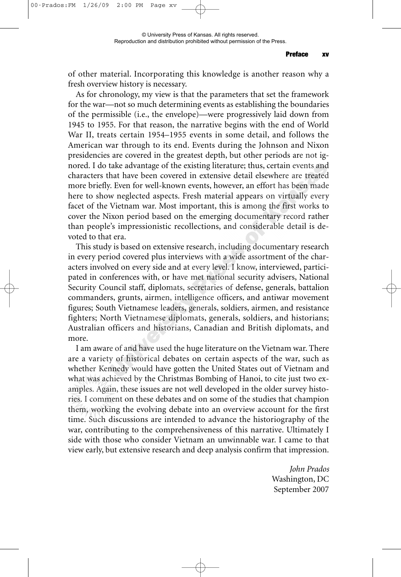of other material. Incorporating this knowledge is another reason why a fresh overview history is necessary.

As for chronology, my view is that the parameters that set the framework for the war—not so much determining events as establishing the boundaries of the permissible (i.e., the envelope)—were progressively laid down from 1945 to 1955. For that reason, the narrative begins with the end of World War II, treats certain 1954–1955 events in some detail, and follows the American war through to its end. Events during the Johnson and Nixon presidencies are covered in the greatest depth, but other periods are not ignored. I do take advantage of the existing literature; thus, certain events and characters that have been covered in extensive detail elsewhere are treated more briefly. Even for well-known events, however, an effort has been made here to show neglected aspects. Fresh material appears on virtually every facet of the Vietnam war. Most important, this is among the first works to cover the Nixon period based on the emerging documentary record rather than people's impressionistic recollections, and considerable detail is devoted to that era.

This study is based on extensive research, including documentary research in every period covered plus interviews with a wide assortment of the characters involved on every side and at every level. I know, interviewed, participated in conferences with, or have met national security advisers, National Security Council staff, diplomats, secretaries of defense, generals, battalion commanders, grunts, airmen, intelligence officers, and antiwar movement figures; South Vietnamese leaders, generals, soldiers, airmen, and resistance fighters; North Vietnamese diplomats, generals, soldiers, and historians; Australian officers and historians, Canadian and British diplomats, and more.

I am aware of and have used the huge literature on the Vietnam war. There are a variety of historical debates on certain aspects of the war, such as whether Kennedy would have gotten the United States out of Vietnam and what was achieved by the Christmas Bombing of Hanoi, to cite just two examples. Again, these issues are not well developed in the older survey histories. I comment on these debates and on some of the studies that champion them, working the evolving debate into an overview account for the first time. Such discussions are intended to advance the historiography of the war, contributing to the comprehensiveness of this narrative. Ultimately I side with those who consider Vietnam an unwinnable war. I came to that view early, but extensive research and deep analysis confirm that impression.

> *John Prados* Washington, DC September 2007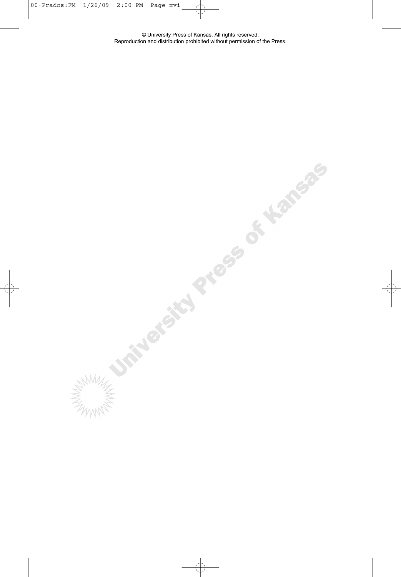© University Press of Kansas. All rights reserved. Reproduction and distribution prohibited without permission of the Press.

**SURVEY MANUFACTURE OF HEADS**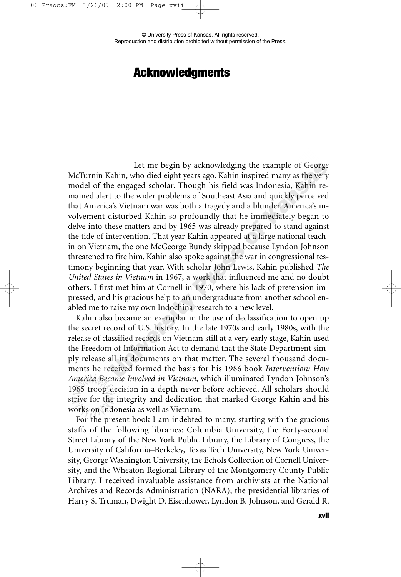# **Acknowledgments**

Let me begin by acknowledging the example of George McTurnin Kahin, who died eight years ago. Kahin inspired many as the very model of the engaged scholar. Though his field was Indonesia, Kahin remained alert to the wider problems of Southeast Asia and quickly perceived that America's Vietnam war was both a tragedy and a blunder. America's involvement disturbed Kahin so profoundly that he immediately began to delve into these matters and by 1965 was already prepared to stand against the tide of intervention. That year Kahin appeared at a large national teachin on Vietnam, the one McGeorge Bundy skipped because Lyndon Johnson threatened to fire him. Kahin also spoke against the war in congressional testimony beginning that year. With scholar John Lewis, Kahin published *The United States in Vietnam* in 1967, a work that influenced me and no doubt others. I first met him at Cornell in 1970, where his lack of pretension impressed, and his gracious help to an undergraduate from another school enabled me to raise my own Indochina research to a new level.

Kahin also became an exemplar in the use of declassification to open up the secret record of U.S. history. In the late 1970s and early 1980s, with the release of classified records on Vietnam still at a very early stage, Kahin used the Freedom of Information Act to demand that the State Department simply release all its documents on that matter. The several thousand documents he received formed the basis for his 1986 book *Intervention: How America Became Involved in Vietnam,* which illuminated Lyndon Johnson's 1965 troop decision in a depth never before achieved. All scholars should strive for the integrity and dedication that marked George Kahin and his works on Indonesia as well as Vietnam.

For the present book I am indebted to many, starting with the gracious staffs of the following libraries: Columbia University, the Forty-second Street Library of the New York Public Library, the Library of Congress, the University of California–Berkeley, Texas Tech University, New York University, George Washington University, the Echols Collection of Cornell University, and the Wheaton Regional Library of the Montgomery County Public Library. I received invaluable assistance from archivists at the National Archives and Records Administration (NARA); the presidential libraries of Harry S. Truman, Dwight D. Eisenhower, Lyndon B. Johnson, and Gerald R.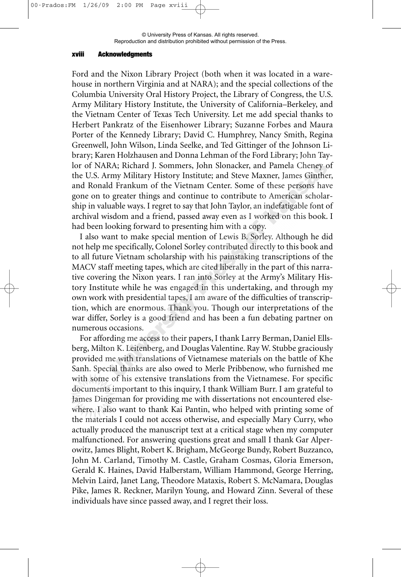## **xviii Acknowledgments**

Ford and the Nixon Library Project (both when it was located in a warehouse in northern Virginia and at NARA); and the special collections of the Columbia University Oral History Project, the Library of Congress, the U.S. Army Military History Institute, the University of California–Berkeley, and the Vietnam Center of Texas Tech University. Let me add special thanks to Herbert Pankratz of the Eisenhower Library; Suzanne Forbes and Maura Porter of the Kennedy Library; David C. Humphrey, Nancy Smith, Regina Greenwell, John Wilson, Linda Seelke, and Ted Gittinger of the Johnson Library; Karen Holzhausen and Donna Lehman of the Ford Library; John Taylor of NARA; Richard J. Sommers, John Slonacker, and Pamela Cheney of the U.S. Army Military History Institute; and Steve Maxner, James Ginther, and Ronald Frankum of the Vietnam Center. Some of these persons have gone on to greater things and continue to contribute to American scholarship in valuable ways. I regret to say that John Taylor, an indefatigable font of archival wisdom and a friend, passed away even as I worked on this book. I had been looking forward to presenting him with a copy.

I also want to make special mention of Lewis B. Sorley. Although he did not help me specifically, Colonel Sorley contributed directly to this book and to all future Vietnam scholarship with his painstaking transcriptions of the MACV staff meeting tapes, which are cited liberally in the part of this narrative covering the Nixon years. I ran into Sorley at the Army's Military History Institute while he was engaged in this undertaking, and through my own work with presidential tapes, I am aware of the difficulties of transcription, which are enormous. Thank you. Though our interpretations of the war differ, Sorley is a good friend and has been a fun debating partner on numerous occasions.

For affording me access to their papers, I thank Larry Berman, Daniel Ellsberg, Milton K. Leitenberg, and Douglas Valentine. Ray W. Stubbe graciously provided me with translations of Vietnamese materials on the battle of Khe Sanh. Special thanks are also owed to Merle Pribbenow, who furnished me with some of his extensive translations from the Vietnamese. For specific documents important to this inquiry, I thank William Burr. I am grateful to James Dingeman for providing me with dissertations not encountered elsewhere. I also want to thank Kai Pantin, who helped with printing some of the materials I could not access otherwise, and especially Mary Curry, who actually produced the manuscript text at a critical stage when my computer malfunctioned. For answering questions great and small I thank Gar Alperowitz, James Blight, Robert K. Brigham, McGeorge Bundy, Robert Buzzanco, John M. Carland, Timothy M. Castle, Graham Cosmas, Gloria Emerson, Gerald K. Haines, David Halberstam, William Hammond, George Herring, Melvin Laird, Janet Lang, Theodore Mataxis, Robert S. McNamara, Douglas Pike, James R. Reckner, Marilyn Young, and Howard Zinn. Several of these individuals have since passed away, and I regret their loss.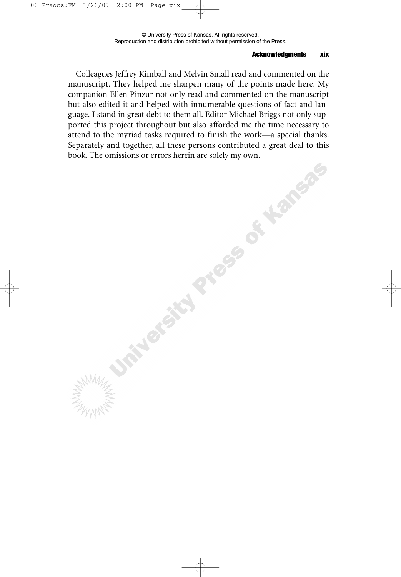Colleagues Jeffrey Kimball and Melvin Small read and commented on the manuscript. They helped me sharpen many of the points made here. My companion Ellen Pinzur not only read and commented on the manuscript but also edited it and helped with innumerable questions of fact and language. I stand in great debt to them all. Editor Michael Briggs not only supported this project throughout but also afforded me the time necessary to attend to the myriad tasks required to finish the work—a special thanks. Separately and together, all these persons contributed a great deal to this book. The omissions or errors herein are solely my own.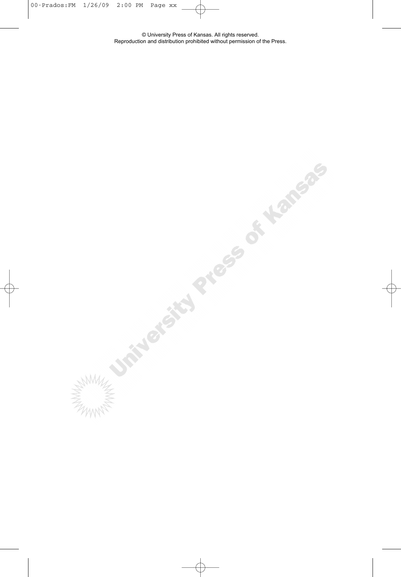© University Press of Kansas. All rights reserved. Reproduction and distribution prohibited without permission of the Press.

**SURVEY MANUFACTURE OF HEADS**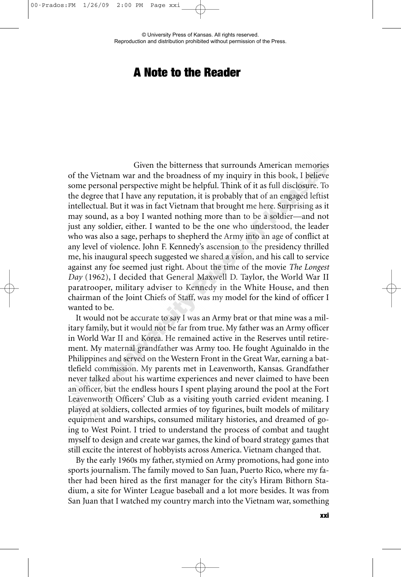# **A Note to the Reader**

Given the bitterness that surrounds American memories of the Vietnam war and the broadness of my inquiry in this book, I believe some personal perspective might be helpful. Think of it as full disclosure. To the degree that I have any reputation, it is probably that of an engaged leftist intellectual. But it was in fact Vietnam that brought me here. Surprising as it may sound, as a boy I wanted nothing more than to be a soldier—and not just any soldier, either. I wanted to be the one who understood, the leader who was also a sage, perhaps to shepherd the Army into an age of conflict at any level of violence. John F. Kennedy's ascension to the presidency thrilled me, his inaugural speech suggested we shared a vision, and his call to service against any foe seemed just right. About the time of the movie *The Longest Day* (1962), I decided that General Maxwell D. Taylor, the World War II paratrooper, military adviser to Kennedy in the White House, and then chairman of the Joint Chiefs of Staff, was my model for the kind of officer I wanted to be.

It would not be accurate to say I was an Army brat or that mine was a military family, but it would not be far from true. My father was an Army officer in World War II and Korea. He remained active in the Reserves until retirement. My maternal grandfather was Army too. He fought Aguinaldo in the Philippines and served on the Western Front in the Great War, earning a battlefield commission. My parents met in Leavenworth, Kansas. Grandfather never talked about his wartime experiences and never claimed to have been an officer, but the endless hours I spent playing around the pool at the Fort Leavenworth Officers' Club as a visiting youth carried evident meaning. I played at soldiers, collected armies of toy figurines, built models of military equipment and warships, consumed military histories, and dreamed of going to West Point. I tried to understand the process of combat and taught myself to design and create war games, the kind of board strategy games that still excite the interest of hobbyists across America. Vietnam changed that.

By the early 1960s my father, stymied on Army promotions, had gone into sports journalism. The family moved to San Juan, Puerto Rico, where my father had been hired as the first manager for the city's Hiram Bithorn Stadium, a site for Winter League baseball and a lot more besides. It was from San Juan that I watched my country march into the Vietnam war, something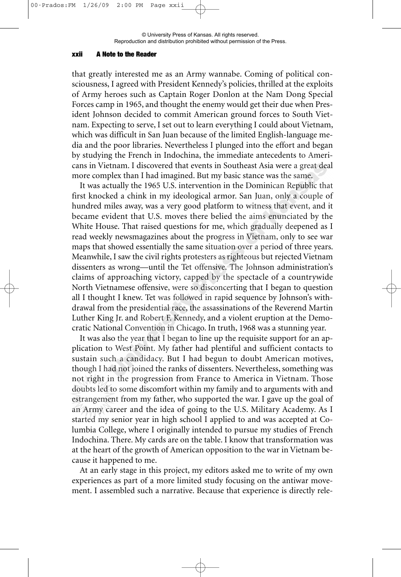# **xxii A Note to the Reader**

that greatly interested me as an Army wannabe. Coming of political consciousness, I agreed with President Kennedy's policies, thrilled at the exploits of Army heroes such as Captain Roger Donlon at the Nam Dong Special Forces camp in 1965, and thought the enemy would get their due when President Johnson decided to commit American ground forces to South Vietnam. Expecting to serve, I set out to learn everything I could about Vietnam, which was difficult in San Juan because of the limited English-language media and the poor libraries. Nevertheless I plunged into the effort and began by studying the French in Indochina, the immediate antecedents to Americans in Vietnam. I discovered that events in Southeast Asia were a great deal more complex than I had imagined. But my basic stance was the same.

It was actually the 1965 U.S. intervention in the Dominican Republic that first knocked a chink in my ideological armor. San Juan, only a couple of hundred miles away, was a very good platform to witness that event, and it became evident that U.S. moves there belied the aims enunciated by the White House. That raised questions for me, which gradually deepened as I read weekly newsmagazines about the progress in Vietnam, only to see war maps that showed essentially the same situation over a period of three years. Meanwhile, I saw the civil rights protesters as righteous but rejected Vietnam dissenters as wrong—until the Tet offensive. The Johnson administration's claims of approaching victory, capped by the spectacle of a countrywide North Vietnamese offensive, were so disconcerting that I began to question all I thought I knew. Tet was followed in rapid sequence by Johnson's withdrawal from the presidential race, the assassinations of the Reverend Martin Luther King Jr. and Robert F. Kennedy, and a violent eruption at the Democratic National Convention in Chicago. In truth, 1968 was a stunning year.

It was also the year that I began to line up the requisite support for an application to West Point. My father had plentiful and sufficient contacts to sustain such a candidacy. But I had begun to doubt American motives, though I had not joined the ranks of dissenters. Nevertheless, something was not right in the progression from France to America in Vietnam. Those doubts led to some discomfort within my family and to arguments with and estrangement from my father, who supported the war. I gave up the goal of an Army career and the idea of going to the U.S. Military Academy. As I started my senior year in high school I applied to and was accepted at Columbia College, where I originally intended to pursue my studies of French Indochina. There. My cards are on the table. I know that transformation was at the heart of the growth of American opposition to the war in Vietnam because it happened to me.

At an early stage in this project, my editors asked me to write of my own experiences as part of a more limited study focusing on the antiwar movement. I assembled such a narrative. Because that experience is directly rele-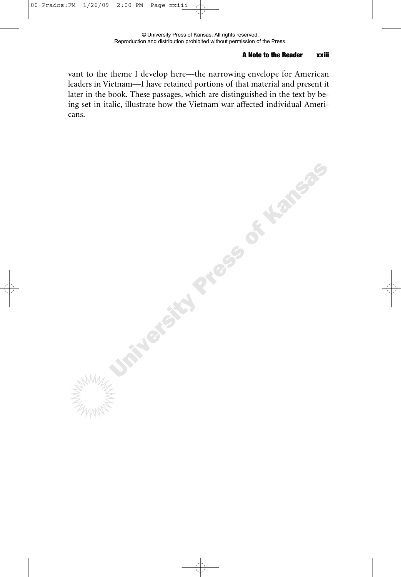vant to the theme I develop here—the narrowing envelope for American leaders in Vietnam—I have retained portions of that material and present it later in the book. These passages, which are distinguished in the text by being set in italic, illustrate how the Vietnam war affected individual Americans.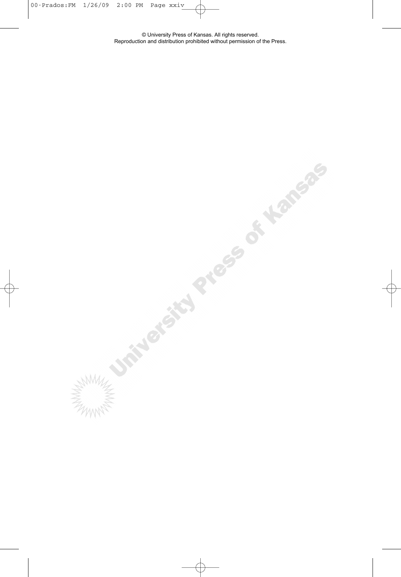© University Press of Kansas. All rights reserved. Reproduction and distribution prohibited without permission of the Press.

**SURVEY MANUFACTURE OF HEADS**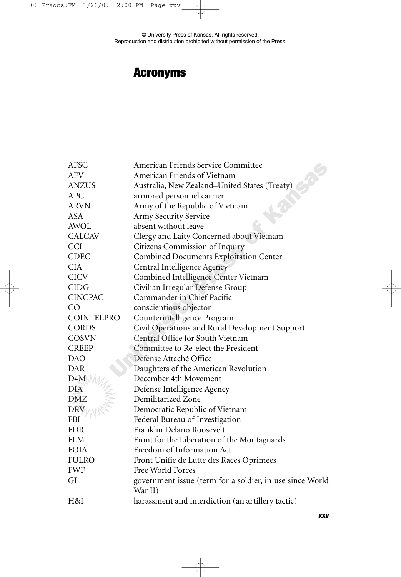# **Acronyms**

| <b>AFSC</b>       | American Friends Service Committee                                  |
|-------------------|---------------------------------------------------------------------|
| <b>AFV</b>        | American Friends of Vietnam                                         |
| <b>ANZUS</b>      | Australia, New Zealand-United States (Treaty)                       |
| <b>APC</b>        | armored personnel carrier                                           |
| <b>ARVN</b>       | Army of the Republic of Vietnam                                     |
| <b>ASA</b>        | Army Security Service                                               |
| <b>AWOL</b>       | absent without leave                                                |
| <b>CALCAV</b>     | Clergy and Laity Concerned about Vietnam                            |
| <b>CCI</b>        | Citizens Commission of Inquiry                                      |
| <b>CDEC</b>       | <b>Combined Documents Exploitation Center</b>                       |
| <b>CIA</b>        | Central Intelligence Agency                                         |
| <b>CICV</b>       | Combined Intelligence Center Vietnam                                |
| <b>CIDG</b>       | Civilian Irregular Defense Group                                    |
| <b>CINCPAC</b>    | Commander in Chief Pacific                                          |
| CO                | conscientious objector                                              |
| <b>COINTELPRO</b> | Counterintelligence Program                                         |
| <b>CORDS</b>      | Civil Operations and Rural Development Support                      |
| <b>COSVN</b>      | Central Office for South Vietnam                                    |
| <b>CREEP</b>      | Committee to Re-elect the President                                 |
| DAO               | Defense Attaché Office                                              |
| DAR               | Daughters of the American Revolution                                |
| D4M               | December 4th Movement                                               |
| <b>DIA</b>        | Defense Intelligence Agency                                         |
| <b>DMZ</b>        | Demilitarized Zone                                                  |
| <b>DRV</b>        | Democratic Republic of Vietnam                                      |
| FBI               | Federal Bureau of Investigation                                     |
| <b>FDR</b>        | Franklin Delano Roosevelt                                           |
| <b>FLM</b>        | Front for the Liberation of the Montagnards                         |
| <b>FOIA</b>       | Freedom of Information Act                                          |
| <b>FULRO</b>      | Front Unifie de Lutte des Races Oprimees                            |
| <b>FWF</b>        | Free World Forces                                                   |
| GI                | government issue (term for a soldier, in use since World<br>War II) |
| H&I               | harassment and interdiction (an artillery tactic)                   |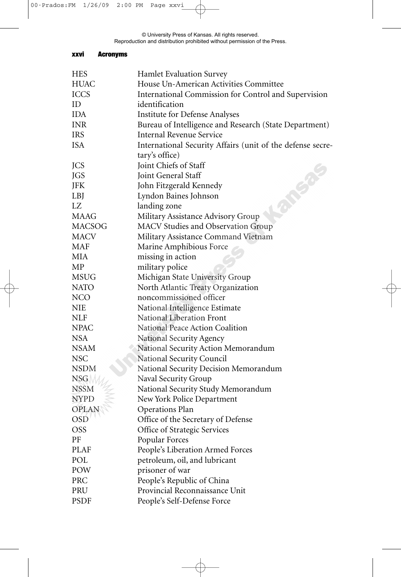| <b>Acronyms</b><br>xxvi |                                                            |
|-------------------------|------------------------------------------------------------|
| <b>HES</b>              | <b>Hamlet Evaluation Survey</b>                            |
| <b>HUAC</b>             | House Un-American Activities Committee                     |
| <b>ICCS</b>             | International Commission for Control and Supervision       |
| ID                      | identification                                             |
| <b>IDA</b>              | Institute for Defense Analyses                             |
| <b>INR</b>              | Bureau of Intelligence and Research (State Department)     |
| <b>IRS</b>              | Internal Revenue Service                                   |
| <b>ISA</b>              | International Security Affairs (unit of the defense secre- |
|                         | tary's office)                                             |
| <b>JCS</b>              | Joint Chiefs of Staff                                      |
| JGS                     | Joint General Staff                                        |
| JFK                     | John Fitzgerald Kennedy                                    |
| LBJ                     | Lyndon Baines Johnson                                      |
| LZ                      | landing zone                                               |
| <b>MAAG</b>             | Military Assistance Advisory Group                         |
| <b>MACSOG</b>           | MACV Studies and Observation Group                         |
| <b>MACV</b>             | Military Assistance Command Vietnam                        |
| <b>MAF</b>              | Marine Amphibious Force                                    |
| MIA                     | missing in action                                          |
| MP                      | military police                                            |
| <b>MSUG</b>             | Michigan State University Group                            |
| <b>NATO</b>             | North Atlantic Treaty Organization                         |
| <b>NCO</b>              | noncommissioned officer                                    |
| <b>NIE</b>              | National Intelligence Estimate                             |
| <b>NLF</b>              | National Liberation Front                                  |
| <b>NPAC</b>             | National Peace Action Coalition                            |
| <b>NSA</b>              | National Security Agency                                   |
| <b>NSAM</b>             | National Security Action Memorandum                        |
| <b>NSC</b>              | National Security Council                                  |
| <b>NSDM</b>             | National Security Decision Memorandum                      |
| NSG                     | Naval Security Group                                       |
| <b>NSSM</b>             | National Security Study Memorandum                         |
| <b>NYPD</b>             | New York Police Department                                 |
| <b>OPLAN</b>            | Operations Plan                                            |
| OSĎ                     | Office of the Secretary of Defense                         |
| <b>OSS</b>              | Office of Strategic Services                               |
| PF                      | Popular Forces                                             |
| <b>PLAF</b>             | People's Liberation Armed Forces                           |
| POL                     | petroleum, oil, and lubricant                              |
| POW                     | prisoner of war                                            |
| <b>PRC</b>              | People's Republic of China                                 |
| PRU                     | Provincial Reconnaissance Unit                             |
| <b>PSDF</b>             | People's Self-Defense Force                                |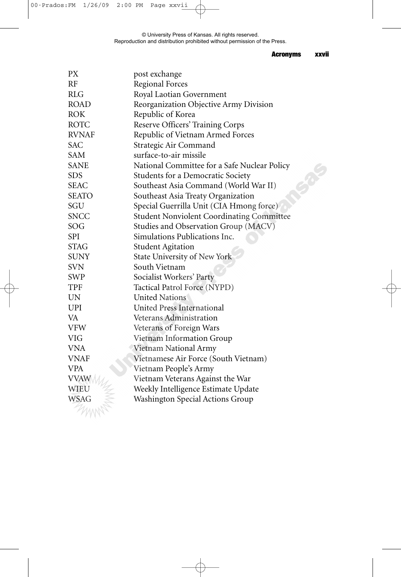| PX           | post exchange                                    |
|--------------|--------------------------------------------------|
| RF           | <b>Regional Forces</b>                           |
| <b>RLG</b>   | Royal Laotian Government                         |
| <b>ROAD</b>  | Reorganization Objective Army Division           |
| <b>ROK</b>   | Republic of Korea                                |
| <b>ROTC</b>  | Reserve Officers' Training Corps                 |
| <b>RVNAF</b> | Republic of Vietnam Armed Forces                 |
| <b>SAC</b>   | Strategic Air Command                            |
| <b>SAM</b>   | surface-to-air missile                           |
| <b>SANE</b>  | National Committee for a Safe Nuclear Policy     |
| <b>SDS</b>   | <b>Students for a Democratic Society</b>         |
| <b>SEAC</b>  | Southeast Asia Command (World War II)            |
| <b>SEATO</b> | Southeast Asia Treaty Organization               |
| SGU          | Special Guerrilla Unit (CIA Hmong force)         |
| <b>SNCC</b>  | <b>Student Nonviolent Coordinating Committee</b> |
| SOG          | Studies and Observation Group (MACV)             |
| SPI          | Simulations Publications Inc.                    |
| <b>STAG</b>  | <b>Student Agitation</b>                         |
| <b>SUNY</b>  | State University of New York                     |
| <b>SVN</b>   | South Vietnam                                    |
| <b>SWP</b>   | Socialist Workers' Party                         |
| <b>TPF</b>   | Tactical Patrol Force (NYPD)                     |
| <b>UN</b>    | <b>United Nations</b>                            |
| <b>UPI</b>   | United Press International                       |
| VA           | Veterans Administration                          |
| <b>VFW</b>   | Veterans of Foreign Wars                         |
| <b>VIG</b>   | Vietnam Information Group                        |
| <b>VNA</b>   | Vietnam National Army                            |
| <b>VNAF</b>  | Vietnamese Air Force (South Vietnam)             |
| <b>VPA</b>   | Vietnam People's Army                            |
| <b>VVAW</b>  | Vietnam Veterans Against the War                 |
| <b>WIEU</b>  | Weekly Intelligence Estimate Update              |
| <b>WSAG</b>  | <b>Washington Special Actions Group</b>          |
|              |                                                  |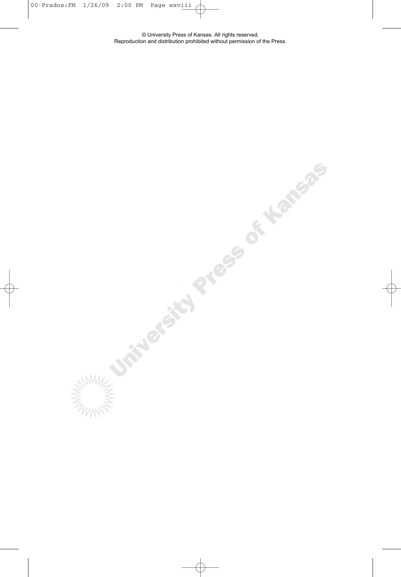© University Press of Kansas. All rights reserved. Reproduction and distribution prohibited without permission of the Press.

**SURVEY MANUFACTURE OF HEADS**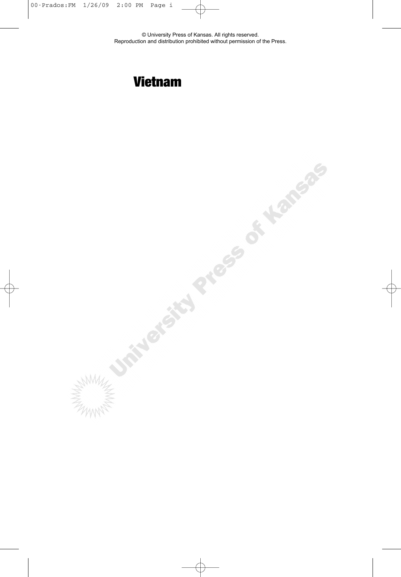# **Vietnam**<br>William Property Pross of Hansas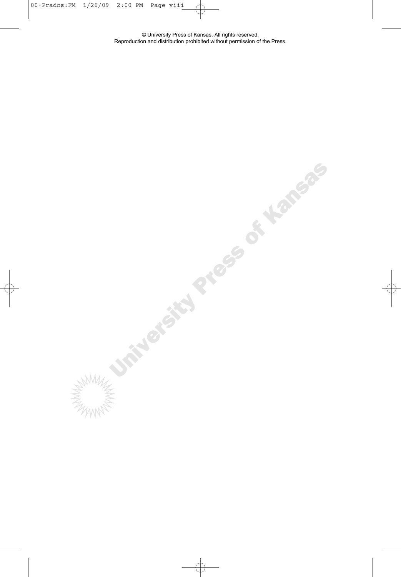© University Press of Kansas. All rights reserved. Reproduction and distribution prohibited without permission of the Press.

**SURVEY MANUFACTURE OF HEADS**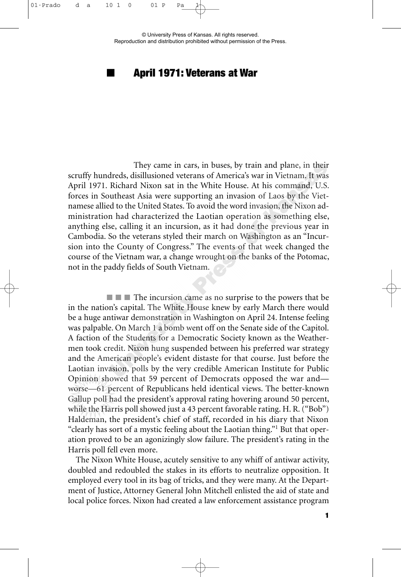

# **■ April 1971: Veterans at War**

They came in cars, in buses, by train and plane, in their scruffy hundreds, disillusioned veterans of America's war in Vietnam. It was April 1971. Richard Nixon sat in the White House. At his command, U.S. forces in Southeast Asia were supporting an invasion of Laos by the Vietnamese allied to the United States. To avoid the word invasion, the Nixon administration had characterized the Laotian operation as something else, anything else, calling it an incursion, as it had done the previous year in Cambodia. So the veterans styled their march on Washington as an "Incursion into the County of Congress." The events of that week changed the course of the Vietnam war, a change wrought on the banks of the Potomac, not in the paddy fields of South Vietnam.

**The incursion came as no surprise to the powers that be** in the nation's capital. The White House knew by early March there would be a huge antiwar demonstration in Washington on April 24. Intense feeling was palpable. On March 1 a bomb went off on the Senate side of the Capitol. A faction of the Students for a Democratic Society known as the Weathermen took credit. Nixon hung suspended between his preferred war strategy and the American people's evident distaste for that course. Just before the Laotian invasion, polls by the very credible American Institute for Public Opinion showed that 59 percent of Democrats opposed the war and worse—61 percent of Republicans held identical views. The better-known Gallup poll had the president's approval rating hovering around 50 percent, while the Harris poll showed just a 43 percent favorable rating. H. R. ("Bob") Haldeman, the president's chief of staff, recorded in his diary that Nixon "clearly has sort of a mystic feeling about the Laotian thing."1 But that operation proved to be an agonizingly slow failure. The president's rating in the Harris poll fell even more.

The Nixon White House, acutely sensitive to any whiff of antiwar activity, doubled and redoubled the stakes in its efforts to neutralize opposition. It employed every tool in its bag of tricks, and they were many. At the Department of Justice, Attorney General John Mitchell enlisted the aid of state and local police forces. Nixon had created a law enforcement assistance program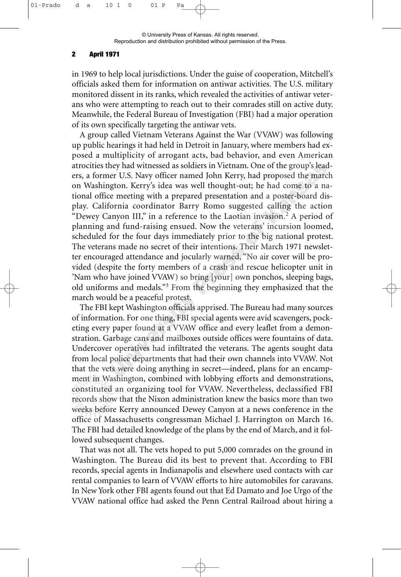# **2 April 1971**

in 1969 to help local jurisdictions. Under the guise of cooperation, Mitchell's officials asked them for information on antiwar activities. The U.S. military monitored dissent in its ranks, which revealed the activities of antiwar veterans who were attempting to reach out to their comrades still on active duty. Meanwhile, the Federal Bureau of Investigation (FBI) had a major operation of its own specifically targeting the antiwar vets.

A group called Vietnam Veterans Against the War (VVAW) was following up public hearings it had held in Detroit in January, where members had exposed a multiplicity of arrogant acts, bad behavior, and even American atrocities they had witnessed as soldiers in Vietnam. One of the group's leaders, a former U.S. Navy officer named John Kerry, had proposed the march on Washington. Kerry's idea was well thought-out; he had come to a national office meeting with a prepared presentation and a poster-board display. California coordinator Barry Romo suggested calling the action "Dewey Canyon III," in a reference to the Laotian invasion.<sup>2</sup> A period of planning and fund-raising ensued. Now the veterans' incursion loomed, scheduled for the four days immediately prior to the big national protest. The veterans made no secret of their intentions. Their March 1971 newsletter encouraged attendance and jocularly warned, "No air cover will be provided (despite the forty members of a crash and rescue helicopter unit in 'Nam who have joined VVAW) so bring [your] own ponchos, sleeping bags, old uniforms and medals."<sup>3</sup> From the beginning they emphasized that the march would be a peaceful protest.

The FBI kept Washington officials apprised. The Bureau had many sources of information. For one thing, FBI special agents were avid scavengers, pocketing every paper found at a VVAW office and every leaflet from a demonstration. Garbage cans and mailboxes outside offices were fountains of data. Undercover operatives had infiltrated the veterans. The agents sought data from local police departments that had their own channels into VVAW. Not that the vets were doing anything in secret—indeed, plans for an encampment in Washington, combined with lobbying efforts and demonstrations, constituted an organizing tool for VVAW. Nevertheless, declassified FBI records show that the Nixon administration knew the basics more than two weeks before Kerry announced Dewey Canyon at a news conference in the office of Massachusetts congressman Michael J. Harrington on March 16. The FBI had detailed knowledge of the plans by the end of March, and it followed subsequent changes.

That was not all. The vets hoped to put 5,000 comrades on the ground in Washington. The Bureau did its best to prevent that. According to FBI records, special agents in Indianapolis and elsewhere used contacts with car rental companies to learn of VVAW efforts to hire automobiles for caravans. In New York other FBI agents found out that Ed Damato and Joe Urgo of the VVAW national office had asked the Penn Central Railroad about hiring a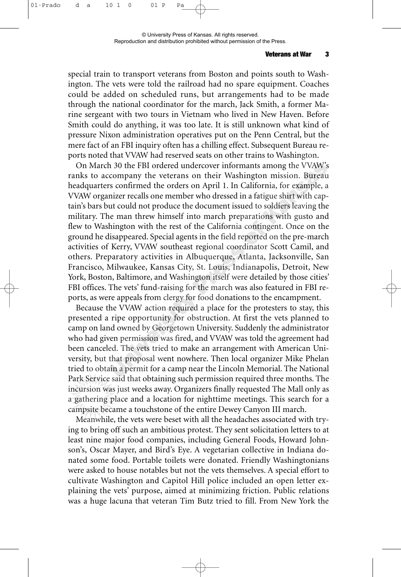special train to transport veterans from Boston and points south to Washington. The vets were told the railroad had no spare equipment. Coaches could be added on scheduled runs, but arrangements had to be made through the national coordinator for the march, Jack Smith, a former Marine sergeant with two tours in Vietnam who lived in New Haven. Before Smith could do anything, it was too late. It is still unknown what kind of pressure Nixon administration operatives put on the Penn Central, but the mere fact of an FBI inquiry often has a chilling effect. Subsequent Bureau reports noted that VVAW had reserved seats on other trains to Washington.

On March 30 the FBI ordered undercover informants among the VVAW's ranks to accompany the veterans on their Washington mission. Bureau headquarters confirmed the orders on April 1. In California, for example, a VVAW organizer recalls one member who dressed in a fatigue shirt with captain's bars but could not produce the document issued to soldiers leaving the military. The man threw himself into march preparations with gusto and flew to Washington with the rest of the California contingent. Once on the ground he disappeared. Special agents in the field reported on the pre-march activities of Kerry, VVAW southeast regional coordinator Scott Camil, and others. Preparatory activities in Albuquerque, Atlanta, Jacksonville, San Francisco, Milwaukee, Kansas City, St. Louis, Indianapolis, Detroit, New York, Boston, Baltimore, and Washington itself were detailed by those cities' FBI offices. The vets' fund-raising for the march was also featured in FBI reports, as were appeals from clergy for food donations to the encampment.

Because the VVAW action required a place for the protesters to stay, this presented a ripe opportunity for obstruction. At first the vets planned to camp on land owned by Georgetown University. Suddenly the administrator who had given permission was fired, and VVAW was told the agreement had been canceled. The vets tried to make an arrangement with American University, but that proposal went nowhere. Then local organizer Mike Phelan tried to obtain a permit for a camp near the Lincoln Memorial. The National Park Service said that obtaining such permission required three months. The incursion was just weeks away. Organizers finally requested The Mall only as a gathering place and a location for nighttime meetings. This search for a campsite became a touchstone of the entire Dewey Canyon III march.

Meanwhile, the vets were beset with all the headaches associated with trying to bring off such an ambitious protest. They sent solicitation letters to at least nine major food companies, including General Foods, Howard Johnson's, Oscar Mayer, and Bird's Eye. A vegetarian collective in Indiana donated some food. Portable toilets were donated. Friendly Washingtonians were asked to house notables but not the vets themselves. A special effort to cultivate Washington and Capitol Hill police included an open letter explaining the vets' purpose, aimed at minimizing friction. Public relations was a huge lacuna that veteran Tim Butz tried to fill. From New York the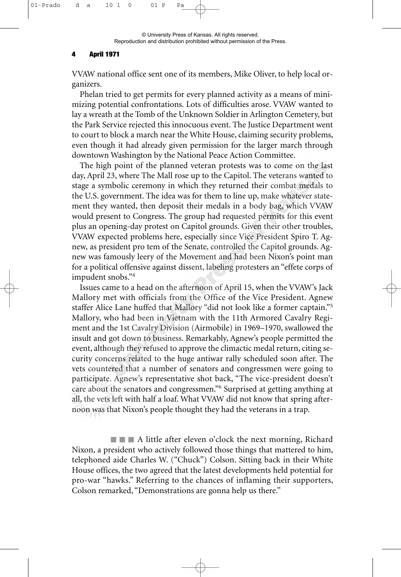# **4 April 1971**

VVAW national office sent one of its members, Mike Oliver, to help local organizers.

Phelan tried to get permits for every planned activity as a means of minimizing potential confrontations. Lots of difficulties arose. VVAW wanted to lay a wreath at the Tomb of the Unknown Soldier in Arlington Cemetery, but the Park Service rejected this innocuous event. The Justice Department went to court to block a march near the White House, claiming security problems, even though it had already given permission for the larger march through downtown Washington by the National Peace Action Committee.

The high point of the planned veteran protests was to come on the last day, April 23, where The Mall rose up to the Capitol. The veterans wanted to stage a symbolic ceremony in which they returned their combat medals to the U.S. government. The idea was for them to line up, make whatever statement they wanted, then deposit their medals in a body bag, which VVAW would present to Congress. The group had requested permits for this event plus an opening-day protest on Capitol grounds. Given their other troubles, VVAW expected problems here, especially since Vice President Spiro T. Agnew, as president pro tem of the Senate, controlled the Capitol grounds. Agnew was famously leery of the Movement and had been Nixon's point man for a political offensive against dissent, labeling protesters an "effete corps of impudent snobs."4

Issues came to a head on the afternoon of April 15, when the VVAW's Jack Mallory met with officials from the Office of the Vice President. Agnew staffer Alice Lane huffed that Mallory "did not look like a former captain."5 Mallory, who had been in Vietnam with the 11th Armored Cavalry Regiment and the 1st Cavalry Division (Airmobile) in 1969–1970, swallowed the insult and got down to business. Remarkably, Agnew's people permitted the event, although they refused to approve the climactic medal return, citing security concerns related to the huge antiwar rally scheduled soon after. The vets countered that a number of senators and congressmen were going to participate. Agnew's representative shot back, "The vice-president doesn't care about the senators and congressmen."6 Surprised at getting anything at all, the vets left with half a loaf. What VVAW did not know that spring afternoon was that Nixon's people thought they had the veterans in a trap.

 $\blacksquare$   $\blacksquare$  A little after eleven o'clock the next morning, Richard Nixon, a president who actively followed those things that mattered to him, telephoned aide Charles W. ("Chuck") Colson. Sitting back in their White House offices, the two agreed that the latest developments held potential for pro-war "hawks." Referring to the chances of inflaming their supporters, Colson remarked, "Demonstrations are gonna help us there."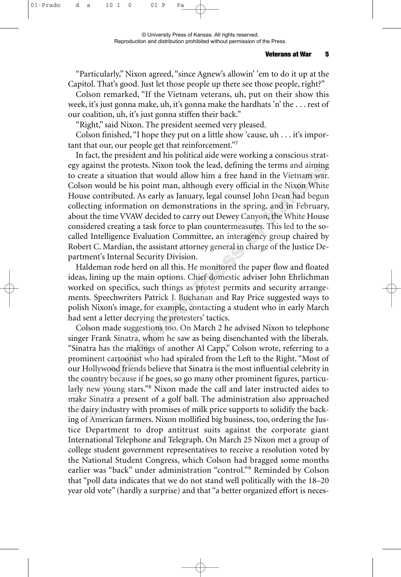"Particularly," Nixon agreed, "since Agnew's allowin' 'em to do it up at the Capitol. That's good. Just let those people up there see those people, right?"

Colson remarked, "If the Vietnam veterans, uh, put on their show this week, it's just gonna make, uh, it's gonna make the hardhats 'n' the . . . rest of our coalition, uh, it's just gonna stiffen their back."

"Right," said Nixon. The president seemed very pleased.

Colson finished, "I hope they put on a little show 'cause, uh . . . it's important that our, our people get that reinforcement."7

In fact, the president and his political aide were working a conscious strategy against the protests. Nixon took the lead, defining the terms and aiming to create a situation that would allow him a free hand in the Vietnam war. Colson would be his point man, although every official in the Nixon White House contributed. As early as January, legal counsel John Dean had begun collecting information on demonstrations in the spring, and in February, about the time VVAW decided to carry out Dewey Canyon, the White House considered creating a task force to plan countermeasures. This led to the socalled Intelligence Evaluation Committee, an interagency group chaired by Robert C. Mardian, the assistant attorney general in charge of the Justice Department's Internal Security Division.

Haldeman rode herd on all this. He monitored the paper flow and floated ideas, lining up the main options. Chief domestic adviser John Ehrlichman worked on specifics, such things as protest permits and security arrangements. Speechwriters Patrick J. Buchanan and Ray Price suggested ways to polish Nixon's image, for example, contacting a student who in early March had sent a letter decrying the protesters' tactics.

Colson made suggestions too. On March 2 he advised Nixon to telephone singer Frank Sinatra, whom he saw as being disenchanted with the liberals. "Sinatra has the makings of another Al Capp," Colson wrote, referring to a prominent cartoonist who had spiraled from the Left to the Right. "Most of our Hollywood friends believe that Sinatra is the most influential celebrity in the country because if he goes, so go many other prominent figures, particularly new young stars."<sup>8</sup> Nixon made the call and later instructed aides to make Sinatra a present of a golf ball. The administration also approached the dairy industry with promises of milk price supports to solidify the backing of American farmers. Nixon mollified big business, too, ordering the Justice Department to drop antitrust suits against the corporate giant International Telephone and Telegraph. On March 25 Nixon met a group of college student government representatives to receive a resolution voted by the National Student Congress, which Colson had bragged some months earlier was "back" under administration "control."<sup>9</sup> Reminded by Colson that "poll data indicates that we do not stand well politically with the 18–20 year old vote" (hardly a surprise) and that "a better organized effort is neces-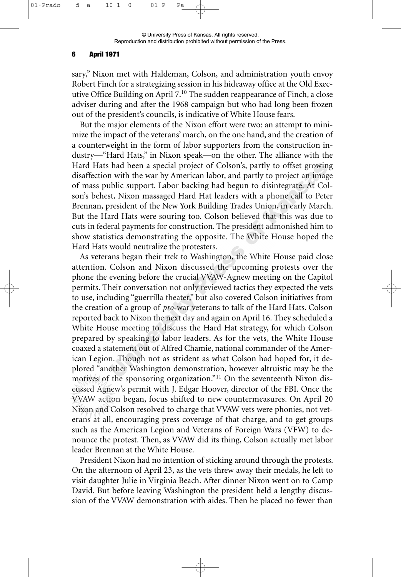# **6 April 1971**

sary," Nixon met with Haldeman, Colson, and administration youth envoy Robert Finch for a strategizing session in his hideaway office at the Old Executive Office Building on April 7.10 The sudden reappearance of Finch, a close adviser during and after the 1968 campaign but who had long been frozen out of the president's councils, is indicative of White House fears.

But the major elements of the Nixon effort were two: an attempt to minimize the impact of the veterans' march, on the one hand, and the creation of a counterweight in the form of labor supporters from the construction industry—"Hard Hats," in Nixon speak—on the other. The alliance with the Hard Hats had been a special project of Colson's, partly to offset growing disaffection with the war by American labor, and partly to project an image of mass public support. Labor backing had begun to disintegrate. At Colson's behest, Nixon massaged Hard Hat leaders with a phone call to Peter Brennan, president of the New York Building Trades Union, in early March. But the Hard Hats were souring too. Colson believed that this was due to cuts in federal payments for construction. The president admonished him to show statistics demonstrating the opposite. The White House hoped the Hard Hats would neutralize the protesters.

As veterans began their trek to Washington, the White House paid close attention. Colson and Nixon discussed the upcoming protests over the phone the evening before the crucial VVAW-Agnew meeting on the Capitol permits. Their conversation not only reviewed tactics they expected the vets to use, including "guerrilla theater," but also covered Colson initiatives from the creation of a group of *pro*-war veterans to talk of the Hard Hats. Colson reported back to Nixon the next day and again on April 16. They scheduled a White House meeting to discuss the Hard Hat strategy, for which Colson prepared by speaking to labor leaders. As for the vets, the White House coaxed a statement out of Alfred Chamie, national commander of the American Legion. Though not as strident as what Colson had hoped for, it deplored "another Washington demonstration, however altruistic may be the motives of the sponsoring organization."<sup>11</sup> On the seventeenth Nixon discussed Agnew's permit with J. Edgar Hoover, director of the FBI. Once the VVAW action began, focus shifted to new countermeasures. On April 20 Nixon and Colson resolved to charge that VVAW vets were phonies, not veterans at all, encouraging press coverage of that charge, and to get groups such as the American Legion and Veterans of Foreign Wars (VFW) to denounce the protest. Then, as VVAW did its thing, Colson actually met labor leader Brennan at the White House.

President Nixon had no intention of sticking around through the protests. On the afternoon of April 23, as the vets threw away their medals, he left to visit daughter Julie in Virginia Beach. After dinner Nixon went on to Camp David. But before leaving Washington the president held a lengthy discussion of the VVAW demonstration with aides. Then he placed no fewer than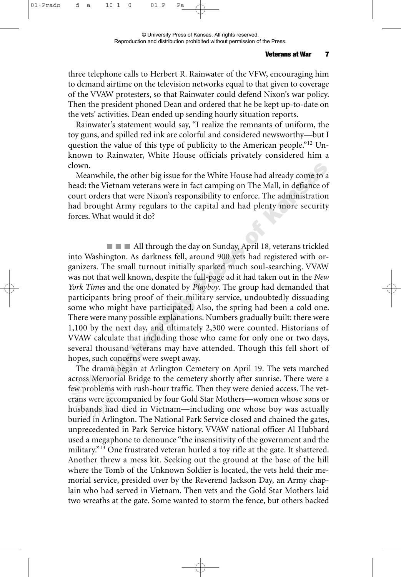three telephone calls to Herbert R. Rainwater of the VFW, encouraging him to demand airtime on the television networks equal to that given to coverage of the VVAW protesters, so that Rainwater could defend Nixon's war policy. Then the president phoned Dean and ordered that he be kept up-to-date on the vets' activities. Dean ended up sending hourly situation reports.

Rainwater's statement would say, "I realize the remnants of uniform, the toy guns, and spilled red ink are colorful and considered newsworthy—but I question the value of this type of publicity to the American people."<sup>12</sup> Unknown to Rainwater, White House officials privately considered him a clown.

Meanwhile, the other big issue for the White House had already come to a head: the Vietnam veterans were in fact camping on The Mall, in defiance of court orders that were Nixon's responsibility to enforce. The administration had brought Army regulars to the capital and had plenty more security forces. What would it do?

**THE All through the day on Sunday, April 18, veterans trickled** into Washington. As darkness fell, around 900 vets had registered with organizers. The small turnout initially sparked much soul-searching. VVAW was not that well known, despite the full-page ad it had taken out in the *New York Times* and the one donated by *Playboy*. The group had demanded that participants bring proof of their military service, undoubtedly dissuading some who might have participated. Also, the spring had been a cold one. There were many possible explanations. Numbers gradually built: there were 1,100 by the next day, and ultimately 2,300 were counted. Historians of VVAW calculate that including those who came for only one or two days, several thousand veterans may have attended. Though this fell short of hopes, such concerns were swept away.

The drama began at Arlington Cemetery on April 19. The vets marched across Memorial Bridge to the cemetery shortly after sunrise. There were a few problems with rush-hour traffic. Then they were denied access. The veterans were accompanied by four Gold Star Mothers—women whose sons or husbands had died in Vietnam—including one whose boy was actually buried in Arlington. The National Park Service closed and chained the gates, unprecedented in Park Service history. VVAW national officer Al Hubbard used a megaphone to denounce "the insensitivity of the government and the military."13 One frustrated veteran hurled a toy rifle at the gate. It shattered. Another threw a mess kit. Seeking out the ground at the base of the hill where the Tomb of the Unknown Soldier is located, the vets held their memorial service, presided over by the Reverend Jackson Day, an Army chaplain who had served in Vietnam. Then vets and the Gold Star Mothers laid two wreaths at the gate. Some wanted to storm the fence, but others backed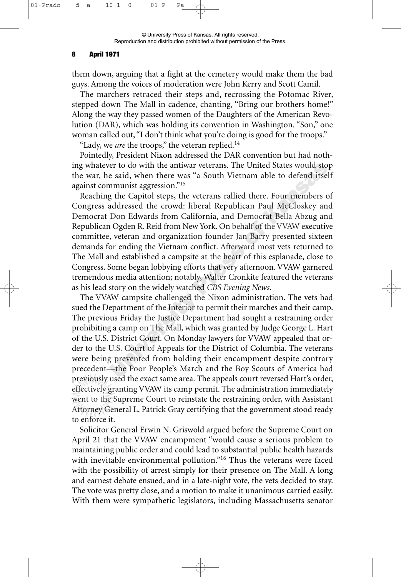# **8 April 1971**

them down, arguing that a fight at the cemetery would make them the bad guys. Among the voices of moderation were John Kerry and Scott Camil.

The marchers retraced their steps and, recrossing the Potomac River, stepped down The Mall in cadence, chanting, "Bring our brothers home!" Along the way they passed women of the Daughters of the American Revolution (DAR), which was holding its convention in Washington. "Son," one woman called out, "I don't think what you're doing is good for the troops."

"Lady, we *are* the troops," the veteran replied.<sup>14</sup>

Pointedly, President Nixon addressed the DAR convention but had nothing whatever to do with the antiwar veterans. The United States would stop the war, he said, when there was "a South Vietnam able to defend itself against communist aggression."15

Reaching the Capitol steps, the veterans rallied there. Four members of Congress addressed the crowd: liberal Republican Paul McCloskey and Democrat Don Edwards from California, and Democrat Bella Abzug and Republican Ogden R. Reid from New York. On behalf of the VVAW executive committee, veteran and organization founder Jan Barry presented sixteen demands for ending the Vietnam conflict. Afterward most vets returned to The Mall and established a campsite at the heart of this esplanade, close to Congress. Some began lobbying efforts that very afternoon. VVAW garnered tremendous media attention; notably, Walter Cronkite featured the veterans as his lead story on the widely watched *CBS Evening News.*

The VVAW campsite challenged the Nixon administration. The vets had sued the Department of the Interior to permit their marches and their camp. The previous Friday the Justice Department had sought a restraining order prohibiting a camp on The Mall, which was granted by Judge George L. Hart of the U.S. District Court. On Monday lawyers for VVAW appealed that order to the U.S. Court of Appeals for the District of Columbia. The veterans were being prevented from holding their encampment despite contrary precedent—the Poor People's March and the Boy Scouts of America had previously used the exact same area. The appeals court reversed Hart's order, effectively granting VVAW its camp permit. The administration immediately went to the Supreme Court to reinstate the restraining order, with Assistant Attorney General L. Patrick Gray certifying that the government stood ready to enforce it.

Solicitor General Erwin N. Griswold argued before the Supreme Court on April 21 that the VVAW encampment "would cause a serious problem to maintaining public order and could lead to substantial public health hazards with inevitable environmental pollution."<sup>16</sup> Thus the veterans were faced with the possibility of arrest simply for their presence on The Mall. A long and earnest debate ensued, and in a late-night vote, the vets decided to stay. The vote was pretty close, and a motion to make it unanimous carried easily. With them were sympathetic legislators, including Massachusetts senator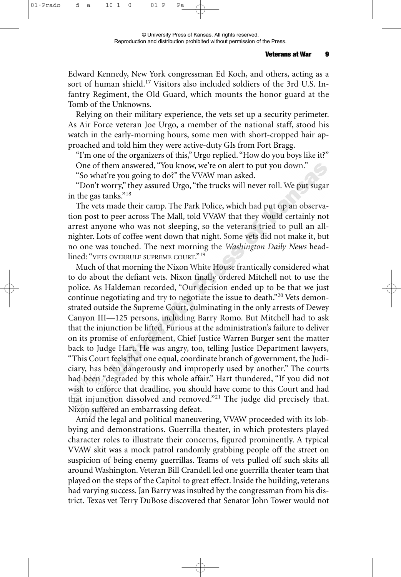Edward Kennedy, New York congressman Ed Koch, and others, acting as a sort of human shield.<sup>17</sup> Visitors also included soldiers of the 3rd U.S. Infantry Regiment, the Old Guard, which mounts the honor guard at the Tomb of the Unknowns.

Relying on their military experience, the vets set up a security perimeter. As Air Force veteran Joe Urgo, a member of the national staff, stood his watch in the early-morning hours, some men with short-cropped hair approached and told him they were active-duty GIs from Fort Bragg.

"I'm one of the organizers of this," Urgo replied. "How do you boys like it?" One of them answered, "You know, we're on alert to put you down."

"So what're you going to do?" the VVAW man asked.

"Don't worry," they assured Urgo, "the trucks will never roll. We put sugar in the gas tanks."18

The vets made their camp. The Park Police, which had put up an observation post to peer across The Mall, told VVAW that they would certainly not arrest anyone who was not sleeping, so the veterans tried to pull an allnighter. Lots of coffee went down that night. Some vets did not make it, but no one was touched. The next morning the *Washington Daily News* headlined: "VETS OVERRULE SUPREME COURT."<sup>19</sup>

Much of that morning the Nixon White House frantically considered what to do about the defiant vets. Nixon finally ordered Mitchell not to use the police. As Haldeman recorded, "Our decision ended up to be that we just continue negotiating and try to negotiate the issue to death."20 Vets demonstrated outside the Supreme Court, culminating in the only arrests of Dewey Canyon III—125 persons, including Barry Romo. But Mitchell had to ask that the injunction be lifted. Furious at the administration's failure to deliver on its promise of enforcement, Chief Justice Warren Burger sent the matter back to Judge Hart. He was angry, too, telling Justice Department lawyers, "This Court feels that one equal, coordinate branch of government, the Judiciary, has been dangerously and improperly used by another." The courts had been "degraded by this whole affair." Hart thundered, "If you did not wish to enforce that deadline, you should have come to this Court and had that injunction dissolved and removed."<sup>21</sup> The judge did precisely that. Nixon suffered an embarrassing defeat.

Amid the legal and political maneuvering, VVAW proceeded with its lobbying and demonstrations. Guerrilla theater, in which protesters played character roles to illustrate their concerns, figured prominently. A typical VVAW skit was a mock patrol randomly grabbing people off the street on suspicion of being enemy guerrillas. Teams of vets pulled off such skits all around Washington. Veteran Bill Crandell led one guerrilla theater team that played on the steps of the Capitol to great effect. Inside the building, veterans had varying success. Jan Barry was insulted by the congressman from his district. Texas vet Terry DuBose discovered that Senator John Tower would not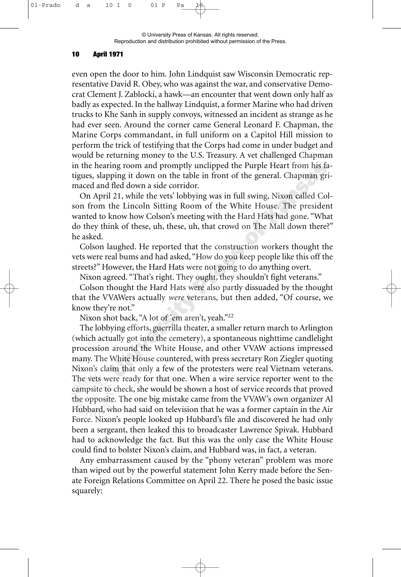# **10 April 1971**

even open the door to him. John Lindquist saw Wisconsin Democratic representative David R. Obey, who was against the war, and conservative Democrat Clement J. Zablocki, a hawk—an encounter that went down only half as badly as expected. In the hallway Lindquist, a former Marine who had driven trucks to Khe Sanh in supply convoys, witnessed an incident as strange as he had ever seen. Around the corner came General Leonard F. Chapman, the Marine Corps commandant, in full uniform on a Capitol Hill mission to perform the trick of testifying that the Corps had come in under budget and would be returning money to the U.S. Treasury. A vet challenged Chapman in the hearing room and promptly unclipped the Purple Heart from his fatigues, slapping it down on the table in front of the general. Chapman grimaced and fled down a side corridor.

On April 21, while the vets' lobbying was in full swing, Nixon called Colson from the Lincoln Sitting Room of the White House. The president wanted to know how Colson's meeting with the Hard Hats had gone. "What do they think of these, uh, these, uh, that crowd on The Mall down there?" he asked.

Colson laughed. He reported that the construction workers thought the vets were real bums and had asked, "How do you keep people like this off the streets?" However, the Hard Hats were not going to do anything overt.

Nixon agreed. "That's right. They ought, they shouldn't fight veterans."

Colson thought the Hard Hats were also partly dissuaded by the thought that the VVAWers actually *were* veterans, but then added, "Of course, we know they're not."

Nixon shot back, "A lot of 'em aren't, yeah."22

The lobbying efforts, guerrilla theater, a smaller return march to Arlington (which actually got into the cemetery), a spontaneous nighttime candlelight procession around the White House, and other VVAW actions impressed many. The White House countered, with press secretary Ron Ziegler quoting Nixon's claim that only a few of the protesters were real Vietnam veterans. The vets were ready for that one. When a wire service reporter went to the campsite to check, she would be shown a host of service records that proved the opposite. The one big mistake came from the VVAW's own organizer Al Hubbard, who had said on television that he was a former captain in the Air Force. Nixon's people looked up Hubbard's file and discovered he had only been a sergeant, then leaked this to broadcaster Lawrence Spivak. Hubbard had to acknowledge the fact. But this was the only case the White House could find to bolster Nixon's claim, and Hubbard was, in fact, a veteran.

Any embarrassment caused by the "phony veteran" problem was more than wiped out by the powerful statement John Kerry made before the Senate Foreign Relations Committee on April 22. There he posed the basic issue squarely: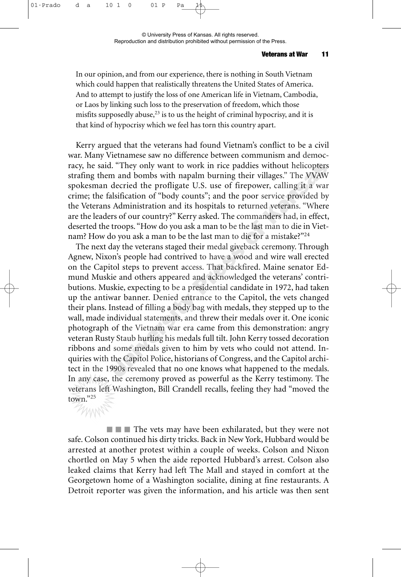In our opinion, and from our experience, there is nothing in South Vietnam which could happen that realistically threatens the United States of America. And to attempt to justify the loss of one American life in Vietnam, Cambodia, or Laos by linking such loss to the preservation of freedom, which those misfits supposedly abuse, $^{23}$  is to us the height of criminal hypocrisy, and it is that kind of hypocrisy which we feel has torn this country apart.

Kerry argued that the veterans had found Vietnam's conflict to be a civil war. Many Vietnamese saw no difference between communism and democracy, he said. "They only want to work in rice paddies without helicopters strafing them and bombs with napalm burning their villages." The VVAW spokesman decried the profligate U.S. use of firepower, calling it a war crime; the falsification of "body counts"; and the poor service provided by the Veterans Administration and its hospitals to returned veterans. "Where are the leaders of our country?" Kerry asked. The commanders had, in effect, deserted the troops. "How do you ask a man to be the last man to die in Vietnam? How do you ask a man to be the last man to die for a mistake?"<sup>24</sup>

The next day the veterans staged their medal giveback ceremony. Through Agnew, Nixon's people had contrived to have a wood and wire wall erected on the Capitol steps to prevent access. That backfired. Maine senator Edmund Muskie and others appeared and acknowledged the veterans' contributions. Muskie, expecting to be a presidential candidate in 1972, had taken up the antiwar banner. Denied entrance to the Capitol, the vets changed their plans. Instead of filling a body bag with medals, they stepped up to the wall, made individual statements, and threw their medals over it. One iconic photograph of the Vietnam war era came from this demonstration: angry veteran Rusty Staub hurling his medals full tilt. John Kerry tossed decoration ribbons and some medals given to him by vets who could not attend. Inquiries with the Capitol Police, historians of Congress, and the Capitol architect in the 1990s revealed that no one knows what happened to the medals. In any case, the ceremony proved as powerful as the Kerry testimony. The veterans left Washington, Bill Crandell recalls, feeling they had "moved the town."25

 $\blacksquare$   $\blacksquare$  The vets may have been exhilarated, but they were not safe. Colson continued his dirty tricks. Back in New York, Hubbard would be arrested at another protest within a couple of weeks. Colson and Nixon chortled on May 5 when the aide reported Hubbard's arrest. Colson also leaked claims that Kerry had left The Mall and stayed in comfort at the Georgetown home of a Washington socialite, dining at fine restaurants. A Detroit reporter was given the information, and his article was then sent

MWW